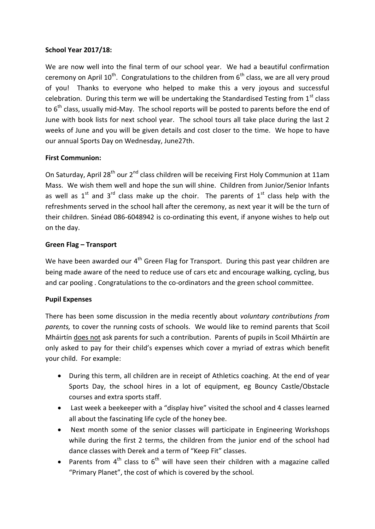### **School Year 2017/18:**

We are now well into the final term of our school year. We had a beautiful confirmation ceremony on April  $10^{th}$ . Congratulations to the children from  $6^{th}$  class, we are all very proud of you! Thanks to everyone who helped to make this a very joyous and successful celebration. During this term we will be undertaking the Standardised Testing from  $1<sup>st</sup>$  class to 6<sup>th</sup> class, usually mid-May. The school reports will be posted to parents before the end of June with book lists for next school year. The school tours all take place during the last 2 weeks of June and you will be given details and cost closer to the time. We hope to have our annual Sports Day on Wednesday, June27th.

## **First Communion:**

On Saturday, April 28<sup>th</sup> our 2<sup>nd</sup> class children will be receiving First Holy Communion at 11am Mass. We wish them well and hope the sun will shine. Children from Junior/Senior Infants as well as  $1<sup>st</sup>$  and  $3<sup>rd</sup>$  class make up the choir. The parents of  $1<sup>st</sup>$  class help with the refreshments served in the school hall after the ceremony, as next year it will be the turn of their children. Sinéad 086-6048942 is co-ordinating this event, if anyone wishes to help out on the day.

## **Green Flag – Transport**

We have been awarded our 4<sup>th</sup> Green Flag for Transport. During this past year children are being made aware of the need to reduce use of cars etc and encourage walking, cycling, bus and car pooling . Congratulations to the co-ordinators and the green school committee.

# **Pupil Expenses**

There has been some discussion in the media recently about *voluntary contributions from parents,* to cover the running costs of schools. We would like to remind parents that Scoil Mháirtín does not ask parents for such a contribution. Parents of pupils in Scoil Mháirtín are only asked to pay for their child's expenses which cover a myriad of extras which benefit your child. For example:

- During this term, all children are in receipt of Athletics coaching. At the end of year Sports Day, the school hires in a lot of equipment, eg Bouncy Castle/Obstacle courses and extra sports staff.
- Last week a beekeeper with a "display hive" visited the school and 4 classes learned all about the fascinating life cycle of the honey bee.
- Next month some of the senior classes will participate in Engineering Workshops while during the first 2 terms, the children from the junior end of the school had dance classes with Derek and a term of "Keep Fit" classes.
- Parents from  $4^{\text{th}}$  class to  $6^{\text{th}}$  will have seen their children with a magazine called "Primary Planet", the cost of which is covered by the school.